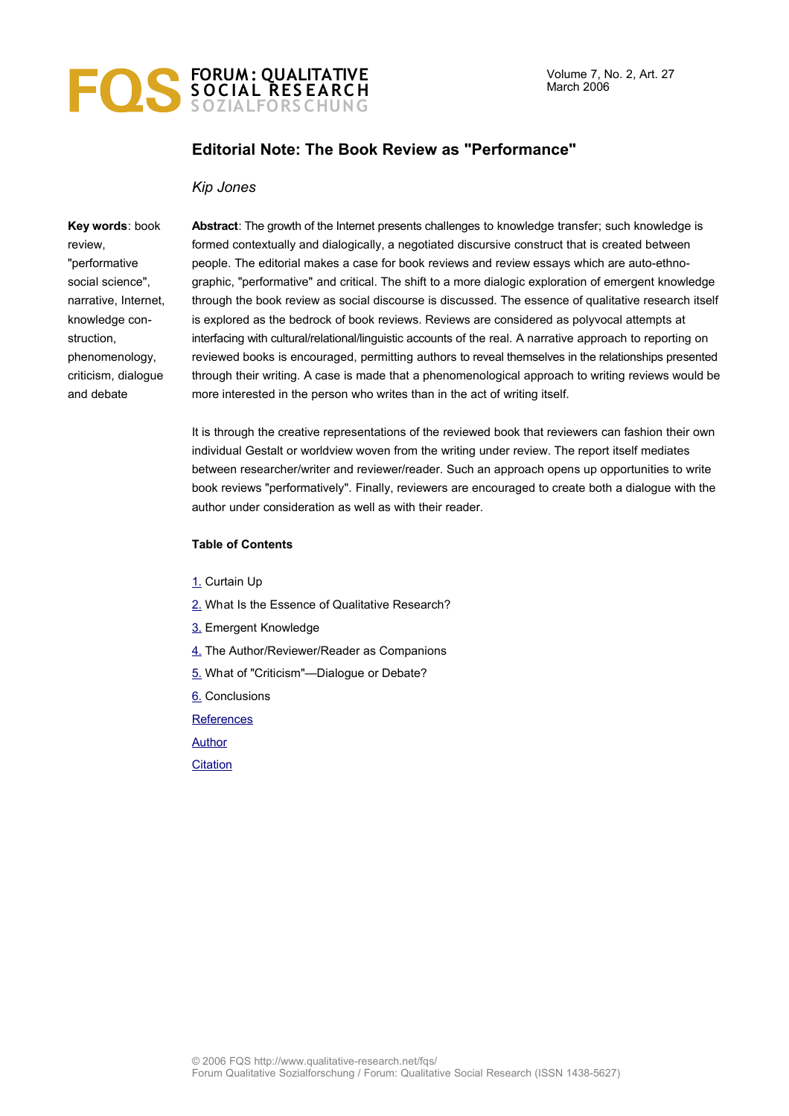

## **Editorial Note: The Book Review as "Performance"**

#### *Kip Jones*

**Key words**: book review, "performative social science", narrative, Internet, knowledge construction, phenomenology, criticism, dialogue and debate

**Abstract**: The growth of the Internet presents challenges to knowledge transfer; such knowledge is formed contextually and dialogically, a negotiated discursive construct that is created between people. The editorial makes a case for book reviews and review essays which are auto-ethnographic, "performative" and critical. The shift to a more dialogic exploration of emergent knowledge through the book review as social discourse is discussed. The essence of qualitative research itself is explored as the bedrock of book reviews. Reviews are considered as polyvocal attempts at interfacing with cultural/relational/linguistic accounts of the real. A narrative approach to reporting on reviewed books is encouraged, permitting authors to reveal themselves in the relationships presented through their writing. A case is made that a phenomenological approach to writing reviews would be more interested in the person who writes than in the act of writing itself.

It is through the creative representations of the reviewed book that reviewers can fashion their own individual Gestalt or worldview woven from the writing under review. The report itself mediates between researcher/writer and reviewer/reader. Such an approach opens up opportunities to write book reviews "performatively". Finally, reviewers are encouraged to create both a dialogue with the author under consideration as well as with their reader.

#### **Table of Contents**

- [1.](#page-1-0) Curtain Up
- [2.](#page-1-1) What Is the Essence of Qualitative Research?
- [3.](#page-2-0) Emergent Knowledge
- [4.](#page-3-0) The Author/Reviewer/Reader as Companions
- [5.](#page-4-0) What of "Criticism"-Dialogue or Debate?
- [6.](#page-5-1) Conclusions
- **[References](#page-5-0)**

**[Author](#page-6-1)** 

**[Citation](#page-6-0)**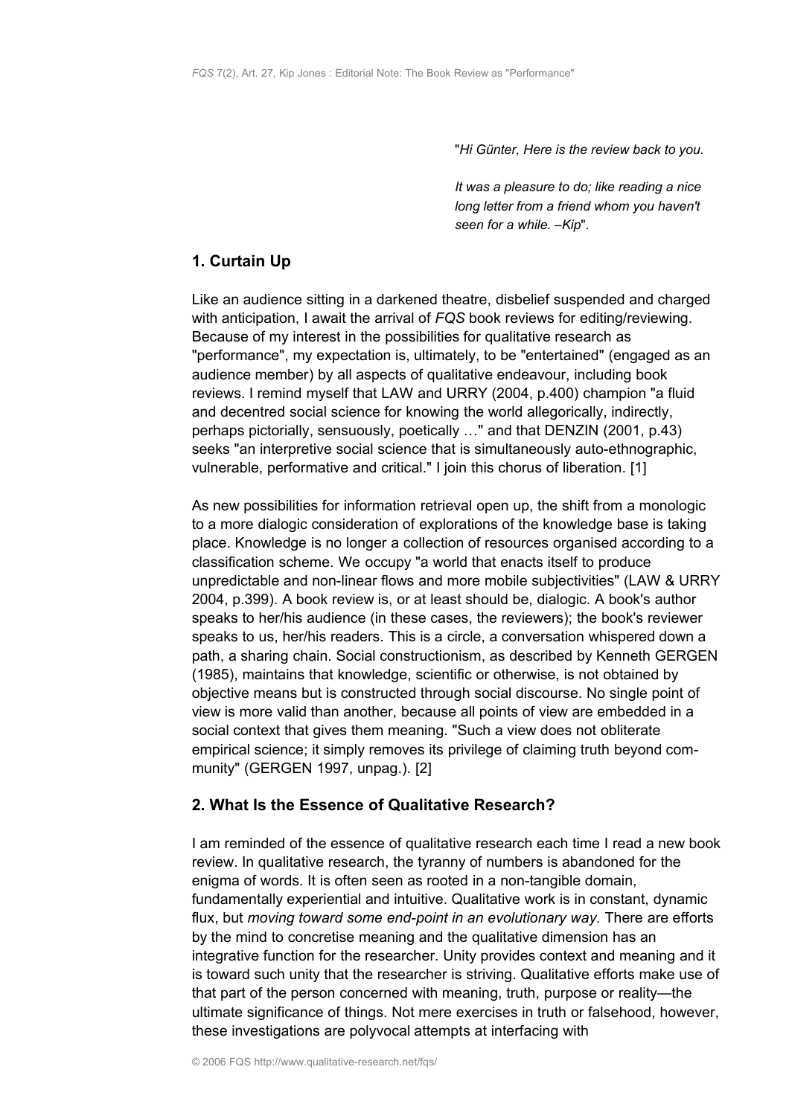"*Hi Günter, Here is the review back to you.*

*It was a pleasure to do; like reading a nice long letter from a friend whom you haven't seen for a while. –Kip*".

# <span id="page-1-0"></span>**1. Curtain Up**

Like an audience sitting in a darkened theatre, disbelief suspended and charged with anticipation, I await the arrival of *FQS* book reviews for editing/reviewing. Because of my interest in the possibilities for qualitative research as "performance", my expectation is, ultimately, to be "entertained" (engaged as an audience member) by all aspects of qualitative endeavour, including book reviews. I remind myself that LAW and URRY (2004, p.400) champion "a fluid and decentred social science for knowing the world allegorically, indirectly, perhaps pictorially, sensuously, poetically …" and that DENZIN (2001, p.43) seeks "an interpretive social science that is simultaneously auto-ethnographic, vulnerable, performative and critical." I join this chorus of liberation. [1]

As new possibilities for information retrieval open up, the shift from a monologic to a more dialogic consideration of explorations of the knowledge base is taking place. Knowledge is no longer a collection of resources organised according to a classification scheme. We occupy "a world that enacts itself to produce unpredictable and non-linear flows and more mobile subjectivities" (LAW & URRY 2004, p.399). A book review is, or at least should be, dialogic. A book's author speaks to her/his audience (in these cases, the reviewers); the book's reviewer speaks to us, her/his readers. This is a circle, a conversation whispered down a path, a sharing chain. Social constructionism, as described by Kenneth GERGEN (1985), maintains that knowledge, scientific or otherwise, is not obtained by objective means but is constructed through social discourse. No single point of view is more valid than another, because all points of view are embedded in a social context that gives them meaning. "Such a view does not obliterate empirical science; it simply removes its privilege of claiming truth beyond community" (GERGEN 1997, unpag.). [2]

## <span id="page-1-1"></span>**2. What Is the Essence of Qualitative Research?**

I am reminded of the essence of qualitative research each time I read a new book review. In qualitative research, the tyranny of numbers is abandoned for the enigma of words. It is often seen as rooted in a non-tangible domain, fundamentally experiential and intuitive. Qualitative work is in constant, dynamic flux, but *moving toward some end-point in an evolutionary way.* There are efforts by the mind to concretise meaning and the qualitative dimension has an integrative function for the researcher. Unity provides context and meaning and it is toward such unity that the researcher is striving. Qualitative efforts make use of that part of the person concerned with meaning, truth, purpose or reality—the ultimate significance of things. Not mere exercises in truth or falsehood, however, these investigations are polyvocal attempts at interfacing with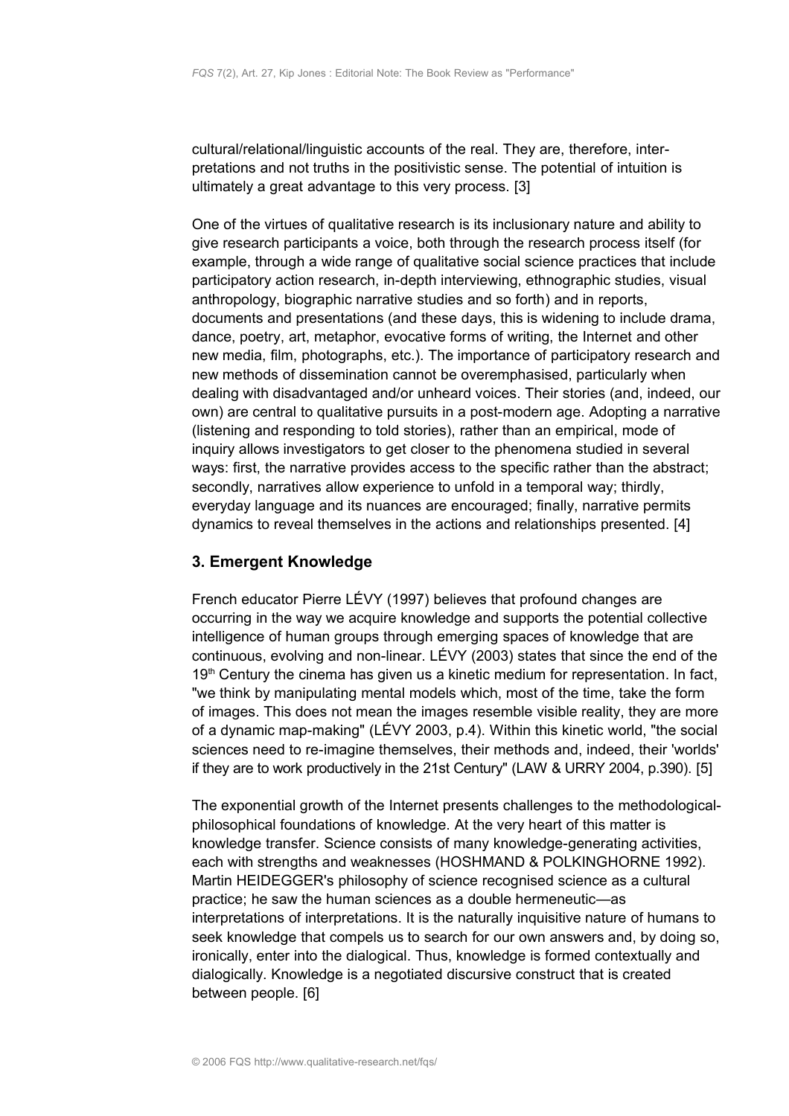cultural/relational/linguistic accounts of the real. They are, therefore, interpretations and not truths in the positivistic sense. The potential of intuition is ultimately a great advantage to this very process. [3]

One of the virtues of qualitative research is its inclusionary nature and ability to give research participants a voice, both through the research process itself (for example, through a wide range of qualitative social science practices that include participatory action research, in-depth interviewing, ethnographic studies, visual anthropology, biographic narrative studies and so forth) and in reports, documents and presentations (and these days, this is widening to include drama, dance, poetry, art, metaphor, evocative forms of writing, the Internet and other new media, film, photographs, etc.). The importance of participatory research and new methods of dissemination cannot be overemphasised, particularly when dealing with disadvantaged and/or unheard voices. Their stories (and, indeed, our own) are central to qualitative pursuits in a post-modern age. Adopting a narrative (listening and responding to told stories), rather than an empirical, mode of inquiry allows investigators to get closer to the phenomena studied in several ways: first, the narrative provides access to the specific rather than the abstract; secondly, narratives allow experience to unfold in a temporal way; thirdly, everyday language and its nuances are encouraged; finally, narrative permits dynamics to reveal themselves in the actions and relationships presented. [4]

### <span id="page-2-0"></span>**3. Emergent Knowledge**

French educator Pierre LÉVY (1997) believes that profound changes are occurring in the way we acquire knowledge and supports the potential collective intelligence of human groups through emerging spaces of knowledge that are continuous, evolving and non-linear. LÉVY (2003) states that since the end of the 19<sup>th</sup> Century the cinema has given us a kinetic medium for representation. In fact, "we think by manipulating mental models which, most of the time, take the form of images. This does not mean the images resemble visible reality, they are more of a dynamic map-making" (LÉVY 2003, p.4). Within this kinetic world, "the social sciences need to re-imagine themselves, their methods and, indeed, their 'worlds' if they are to work productively in the 21st Century" (LAW & URRY 2004, p.390). [5]

The exponential growth of the Internet presents challenges to the methodologicalphilosophical foundations of knowledge. At the very heart of this matter is knowledge transfer. Science consists of many knowledge-generating activities, each with strengths and weaknesses (HOSHMAND & POLKINGHORNE 1992). Martin HEIDEGGER's philosophy of science recognised science as a cultural practice; he saw the human sciences as a double hermeneutic—as interpretations of interpretations. It is the naturally inquisitive nature of humans to seek knowledge that compels us to search for our own answers and, by doing so, ironically, enter into the dialogical. Thus, knowledge is formed contextually and dialogically. Knowledge is a negotiated discursive construct that is created between people. [6]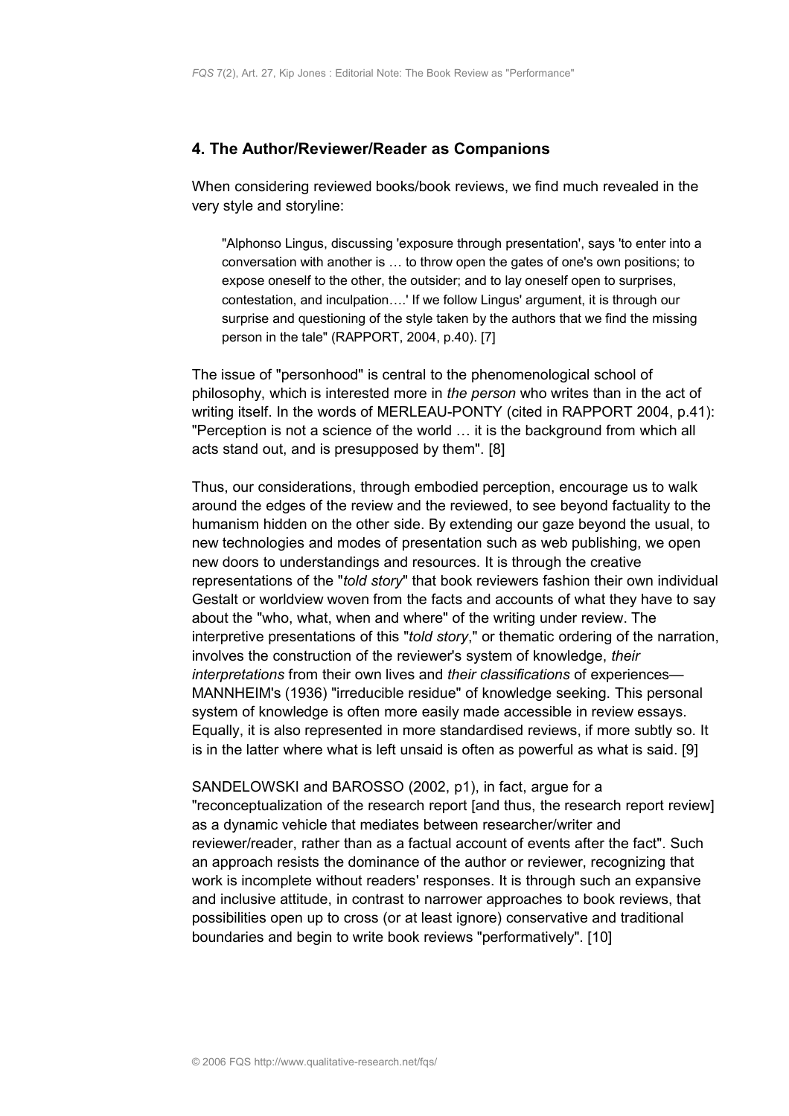#### <span id="page-3-0"></span>**4. The Author/Reviewer/Reader as Companions**

When considering reviewed books/book reviews, we find much revealed in the very style and storyline:

"Alphonso Lingus, discussing 'exposure through presentation', says 'to enter into a conversation with another is … to throw open the gates of one's own positions; to expose oneself to the other, the outsider; and to lay oneself open to surprises, contestation, and inculpation….' If we follow Lingus' argument, it is through our surprise and questioning of the style taken by the authors that we find the missing person in the tale" (RAPPORT, 2004, p.40). [7]

The issue of "personhood" is central to the phenomenological school of philosophy, which is interested more in *the person* who writes than in the act of writing itself. In the words of MERLEAU-PONTY (cited in RAPPORT 2004, p.41): "Perception is not a science of the world … it is the background from which all acts stand out, and is presupposed by them". [8]

Thus, our considerations, through embodied perception, encourage us to walk around the edges of the review and the reviewed, to see beyond factuality to the humanism hidden on the other side. By extending our gaze beyond the usual, to new technologies and modes of presentation such as web publishing, we open new doors to understandings and resources. It is through the creative representations of the "*told story*" that book reviewers fashion their own individual Gestalt or worldview woven from the facts and accounts of what they have to say about the "who, what, when and where" of the writing under review. The interpretive presentations of this "*told story*," or thematic ordering of the narration, involves the construction of the reviewer's system of knowledge, *their interpretations* from their own lives and *their classifications* of experiences— MANNHEIM's (1936) "irreducible residue" of knowledge seeking. This personal system of knowledge is often more easily made accessible in review essays. Equally, it is also represented in more standardised reviews, if more subtly so. It is in the latter where what is left unsaid is often as powerful as what is said. [9]

SANDELOWSKI and BAROSSO (2002, p1), in fact, argue for a "reconceptualization of the research report [and thus, the research report review] as a dynamic vehicle that mediates between researcher/writer and reviewer/reader, rather than as a factual account of events after the fact". Such an approach resists the dominance of the author or reviewer, recognizing that work is incomplete without readers' responses. It is through such an expansive and inclusive attitude, in contrast to narrower approaches to book reviews, that possibilities open up to cross (or at least ignore) conservative and traditional boundaries and begin to write book reviews "performatively". [10]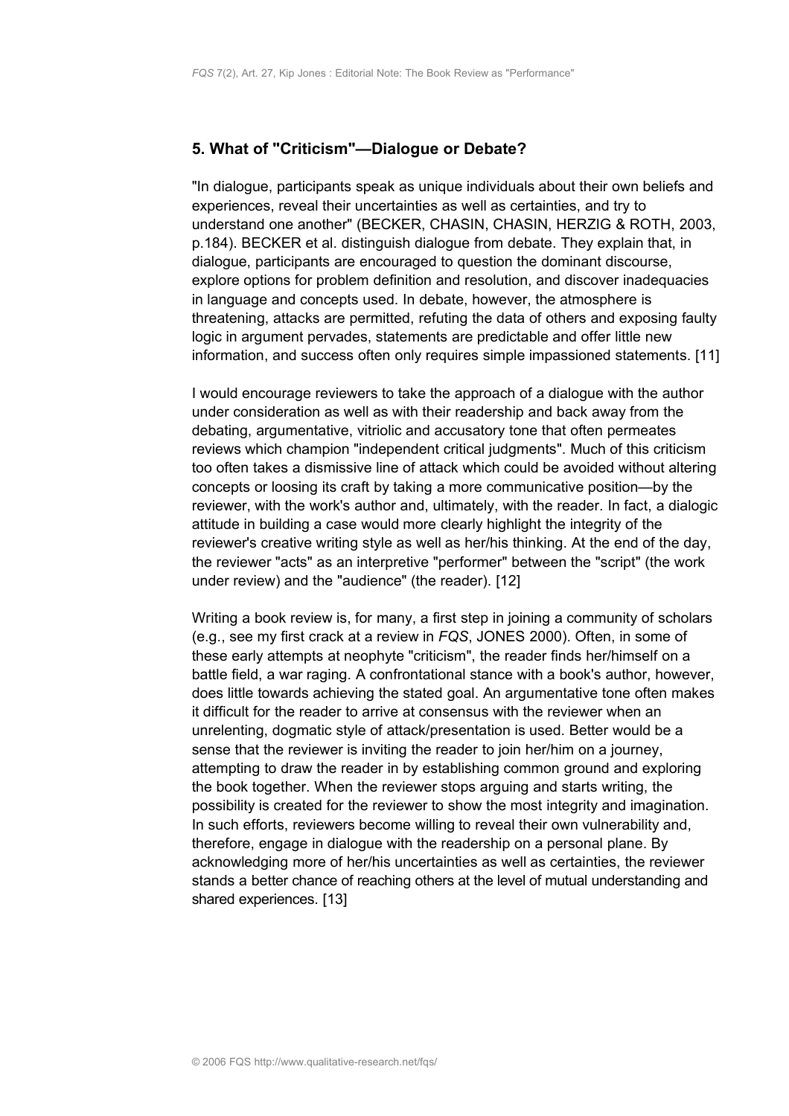### <span id="page-4-0"></span>**5. What of "Criticism"—Dialogue or Debate?**

"In dialogue, participants speak as unique individuals about their own beliefs and experiences, reveal their uncertainties as well as certainties, and try to understand one another" (BECKER, CHASIN, CHASIN, HERZIG & ROTH, 2003, p.184). BECKER et al. distinguish dialogue from debate. They explain that, in dialogue, participants are encouraged to question the dominant discourse, explore options for problem definition and resolution, and discover inadequacies in language and concepts used. In debate, however, the atmosphere is threatening, attacks are permitted, refuting the data of others and exposing faulty logic in argument pervades, statements are predictable and offer little new information, and success often only requires simple impassioned statements. [11]

I would encourage reviewers to take the approach of a dialogue with the author under consideration as well as with their readership and back away from the debating, argumentative, vitriolic and accusatory tone that often permeates reviews which champion "independent critical judgments". Much of this criticism too often takes a dismissive line of attack which could be avoided without altering concepts or loosing its craft by taking a more communicative position—by the reviewer, with the work's author and, ultimately, with the reader. In fact, a dialogic attitude in building a case would more clearly highlight the integrity of the reviewer's creative writing style as well as her/his thinking. At the end of the day, the reviewer "acts" as an interpretive "performer" between the "script" (the work under review) and the "audience" (the reader). [12]

Writing a book review is, for many, a first step in joining a community of scholars (e.g., see my first crack at a review in *FQS*, JONES 2000). Often, in some of these early attempts at neophyte "criticism", the reader finds her/himself on a battle field, a war raging. A confrontational stance with a book's author, however, does little towards achieving the stated goal. An argumentative tone often makes it difficult for the reader to arrive at consensus with the reviewer when an unrelenting, dogmatic style of attack/presentation is used. Better would be a sense that the reviewer is inviting the reader to join her/him on a journey, attempting to draw the reader in by establishing common ground and exploring the book together. When the reviewer stops arguing and starts writing, the possibility is created for the reviewer to show the most integrity and imagination. In such efforts, reviewers become willing to reveal their own vulnerability and, therefore, engage in dialogue with the readership on a personal plane. By acknowledging more of her/his uncertainties as well as certainties, the reviewer stands a better chance of reaching others at the level of mutual understanding and shared experiences. [13]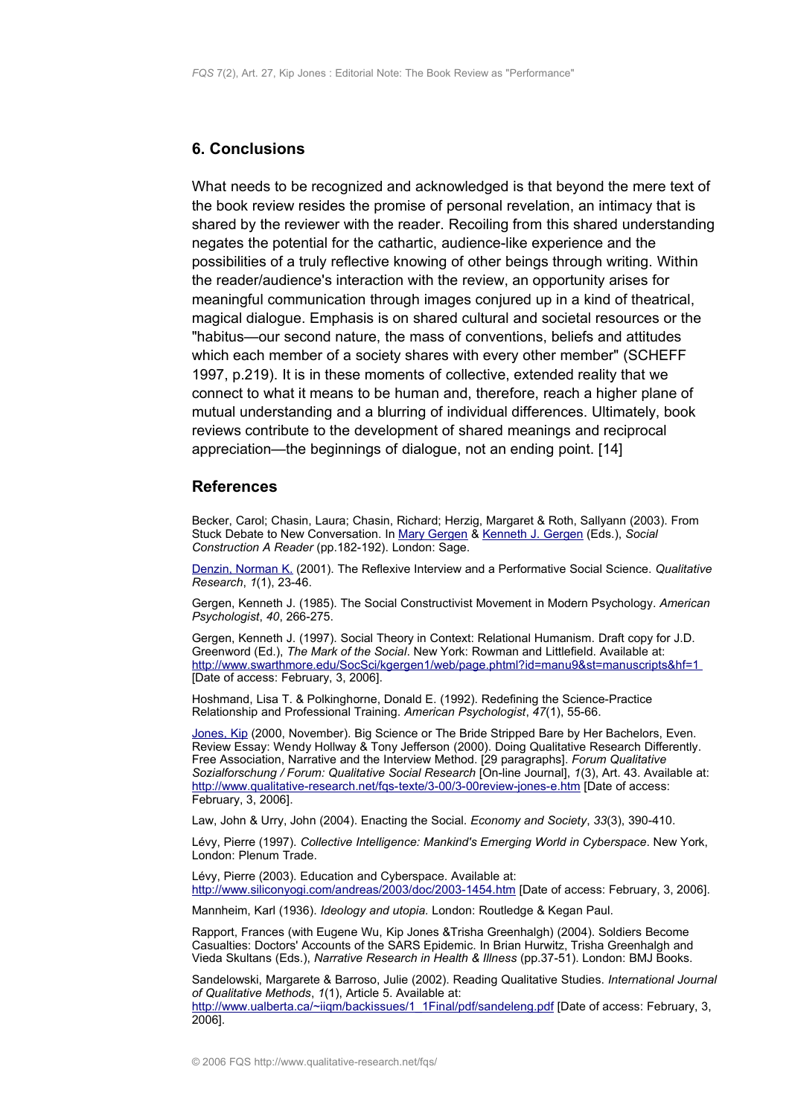#### <span id="page-5-1"></span>**6. Conclusions**

What needs to be recognized and acknowledged is that beyond the mere text of the book review resides the promise of personal revelation, an intimacy that is shared by the reviewer with the reader. Recoiling from this shared understanding negates the potential for the cathartic, audience-like experience and the possibilities of a truly reflective knowing of other beings through writing. Within the reader/audience's interaction with the review, an opportunity arises for meaningful communication through images conjured up in a kind of theatrical, magical dialogue. Emphasis is on shared cultural and societal resources or the "habitus—our second nature, the mass of conventions, beliefs and attitudes which each member of a society shares with every other member" (SCHEFF 1997, p.219). It is in these moments of collective, extended reality that we connect to what it means to be human and, therefore, reach a higher plane of mutual understanding and a blurring of individual differences. Ultimately, book reviews contribute to the development of shared meanings and reciprocal appreciation—the beginnings of dialogue, not an ending point. [14]

#### <span id="page-5-0"></span>**References**

Becker, Carol; Chasin, Laura; Chasin, Richard; Herzig, Margaret & Roth, Sallyann (2003). From Stuck Debate to New Conversation. In [Mary Gergen](http://www.qualitative-research.net/fqs/beirat/gergen-mary-e.htm) & Kenneth [J. Gergen](http://www.qualitative-research.net/fqs/beirat/gergen-ken-e.htm) (Eds.), *Social Construction A Reader* (pp.182-192). London: Sage.

[Denzin, Norman K.](http://www.qualitative-research.net/fqs/beirat/denzin-e.htm) (2001). The Reflexive Interview and a Performative Social Science. *Qualitative Research*, *1*(1), 23-46.

Gergen, Kenneth J. (1985). The Social Constructivist Movement in Modern Psychology. *American Psychologist*, *40*, 266-275.

Gergen, Kenneth J. (1997). Social Theory in Context: Relational Humanism. Draft copy for J.D. Greenword (Ed.), *The Mark of the Social*. New York: Rowman and Littlefield. Available at: <http://www.swarthmore.edu/SocSci/kgergen1/web/page.phtml?id=manu9&st=manuscripts&hf=1> [Date of access: February, 3, 2006].

Hoshmand, Lisa T. & Polkinghorne, Donald E. (1992). Redefining the Science-Practice Relationship and Professional Training. *American Psychologist*, *47*(1), 55-66.

[Jones,](http://www.qualitative-research.net/fqs/impressum/jones-e.htm) Kip (2000, November). Big Science or The Bride Stripped Bare by Her Bachelors, Even. Review Essay: Wendy Hollway & Tony Jefferson (2000). Doing Qualitative Research Differently. Free Association, Narrative and the Interview Method. [29 paragraphs]. *Forum Qualitative Sozialforschung / Forum: Qualitative Social Research* [On-line Journal], *1*(3), Art. 43. Available at: <http://www.qualitative-research.net/fqs-texte/3-00/3-00review-jones-e.htm>[Date of access: February, 3, 2006].

Law, John & Urry, John (2004). Enacting the Social. *Economy and Society*, *33*(3), 390-410.

Lévy, Pierre (1997). *Collective Intelligence: Mankind's Emerging World in Cyberspace*. New York, London: Plenum Trade.

Lévy, Pierre (2003). Education and Cyberspace. Available at: <http://www.siliconyogi.com/andreas/2003/doc/2003-1454.htm>[Date of access: February, 3, 2006].

Mannheim, Karl (1936). *Ideology and utopia.* London: Routledge & Kegan Paul.

Rapport, Frances (with Eugene Wu, Kip Jones &Trisha Greenhalgh) (2004). Soldiers Become Casualties: Doctors' Accounts of the SARS Epidemic. In Brian Hurwitz, Trisha Greenhalgh and Vieda Skultans (Eds.), *Narrative Research in Health & Illness* (pp.37-51). London: BMJ Books.

Sandelowski, Margarete & Barroso, Julie (2002). Reading Qualitative Studies. *International Journal of Qualitative Methods*, *1*(1), Article 5. Available at: [http://www.ualberta.ca/~iiqm/backissues/1\\_1Final/pdf/sandeleng.pdf](http://www.ualberta.ca/~iiqm/backissues/1_1Final/pdf/sandeleng.pdf) [Date of access: February, 3, 2006].